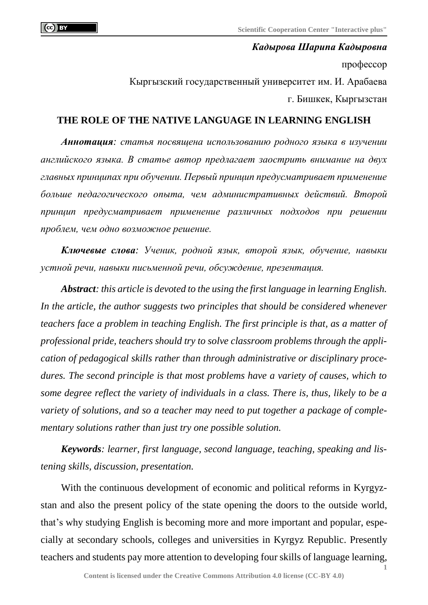## *Кадырова Шарипа Кадыровна* профессор Кыргызский государственный университет им. И. Арабаева г. Бишкек, Кыргызстан

## **THE ROLE OF THE NATIVE LANGUAGE IN LEARNING ENGLISH**

*Аннотация: статья посвящена использованию родного языка в изучении английского языка. В статье автор предлагает заострить внимание на двух главных принципах при обучении. Первый принцип предусматривает применение больше педагогического опыта, чем административных действий. Второй принцип предусматривает применение различных подходов при решении проблем, чем одно возможное решение.*

*Ключевые слова: Ученик, родной язык, второй язык, обучение, навыки устной речи, навыки письменной речи, обсуждение, презентация.*

*Abstract: this article is devoted to the using the first language in learning English. In the article, the author suggests two principles that should be considered whenever teachers face a problem in teaching English. The first principle is that, as a matter of professional pride, teachers should try to solve classroom problems through the application of pedagogical skills rather than through administrative or disciplinary procedures. The second principle is that most problems have a variety of causes, which to some degree reflect the variety of individuals in a class. There is, thus, likely to be a variety of solutions, and so a teacher may need to put together a package of complementary solutions rather than just try one possible solution.*

*Keywords: learner, first language, second language, teaching, speaking and listening skills, discussion, presentation.*

With the continuous development of economic and political reforms in Kyrgyzstan and also the present policy of the state opening the doors to the outside world, that's why studying English is becoming more and more important and popular, especially at secondary schools, colleges and universities in Kyrgyz Republic. Presently teachers and students pay more attention to developing four skills of language learning,

**1**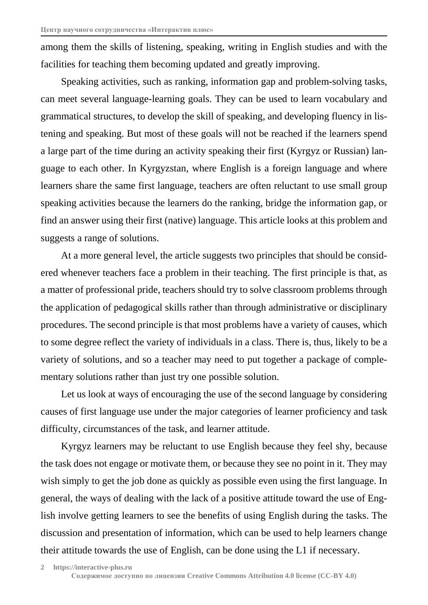among them the skills of listening, speaking, writing in English studies and with the facilities for teaching them becoming updated and greatly improving.

Speaking activities, such as ranking, information gap and problem-solving tasks, can meet several language-learning goals. They can be used to learn vocabulary and grammatical structures, to develop the skill of speaking, and developing fluency in listening and speaking. But most of these goals will not be reached if the learners spend a large part of the time during an activity speaking their first (Kyrgyz or Russian) language to each other. In Kyrgyzstan, where English is a foreign language and where learners share the same first language, teachers are often reluctant to use small group speaking activities because the learners do the ranking, bridge the information gap, or find an answer using their first (native) language. This article looks at this problem and suggests a range of solutions.

At a more general level, the article suggests two principles that should be considered whenever teachers face a problem in their teaching. The first principle is that, as a matter of professional pride, teachers should try to solve classroom problems through the application of pedagogical skills rather than through administrative or disciplinary procedures. The second principle is that most problems have a variety of causes, which to some degree reflect the variety of individuals in a class. There is, thus, likely to be a variety of solutions, and so a teacher may need to put together a package of complementary solutions rather than just try one possible solution.

Let us look at ways of encouraging the use of the second language by considering causes of first language use under the major categories of learner proficiency and task difficulty, circumstances of the task, and learner attitude.

Kyrgyz learners may be reluctant to use English because they feel shy, because the task does not engage or motivate them, or because they see no point in it. They may wish simply to get the job done as quickly as possible even using the first language. In general, the ways of dealing with the lack of a positive attitude toward the use of English involve getting learners to see the benefits of using English during the tasks. The discussion and presentation of information, which can be used to help learners change their attitude towards the use of English, can be done using the L1 if necessary.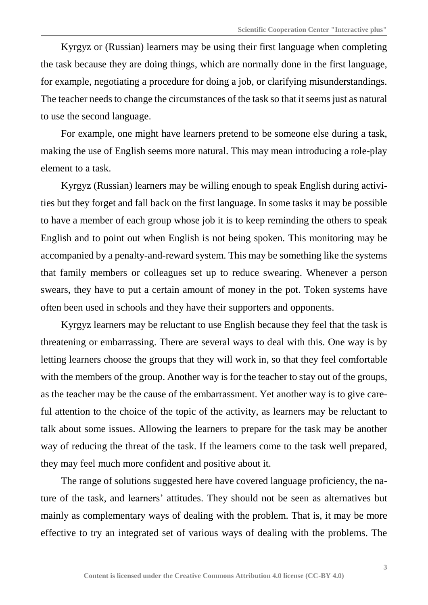Kyrgyz or (Russian) learners may be using their first language when completing the task because they are doing things, which are normally done in the first language, for example, negotiating a procedure for doing a job, or clarifying misunderstandings. The teacher needs to change the circumstances of the task so that it seems just as natural to use the second language.

For example, one might have learners pretend to be someone else during a task, making the use of English seems more natural. This may mean introducing a role-play element to a task.

Kyrgyz (Russian) learners may be willing enough to speak English during activities but they forget and fall back on the first language. In some tasks it may be possible to have a member of each group whose job it is to keep reminding the others to speak English and to point out when English is not being spoken. This monitoring may be accompanied by a penalty-and-reward system. This may be something like the systems that family members or colleagues set up to reduce swearing. Whenever a person swears, they have to put a certain amount of money in the pot. Token systems have often been used in schools and they have their supporters and opponents.

Kyrgyz learners may be reluctant to use English because they feel that the task is threatening or embarrassing. There are several ways to deal with this. One way is by letting learners choose the groups that they will work in, so that they feel comfortable with the members of the group. Another way is for the teacher to stay out of the groups, as the teacher may be the cause of the embarrassment. Yet another way is to give careful attention to the choice of the topic of the activity, as learners may be reluctant to talk about some issues. Allowing the learners to prepare for the task may be another way of reducing the threat of the task. If the learners come to the task well prepared, they may feel much more confident and positive about it.

The range of solutions suggested here have covered language proficiency, the nature of the task, and learners' attitudes. They should not be seen as alternatives but mainly as complementary ways of dealing with the problem. That is, it may be more effective to try an integrated set of various ways of dealing with the problems. The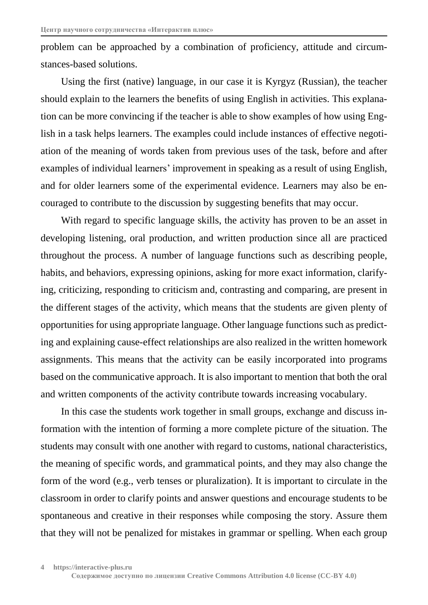problem can be approached by a combination of proficiency, attitude and circumstances-based solutions.

Using the first (native) language, in our case it is Kyrgyz (Russian), the teacher should explain to the learners the benefits of using English in activities. This explanation can be more convincing if the teacher is able to show examples of how using English in a task helps learners. The examples could include instances of effective negotiation of the meaning of words taken from previous uses of the task, before and after examples of individual learners' improvement in speaking as a result of using English, and for older learners some of the experimental evidence. Learners may also be encouraged to contribute to the discussion by suggesting benefits that may occur.

With regard to specific language skills, the activity has proven to be an asset in developing listening, oral production, and written production since all are practiced throughout the process. A number of language functions such as describing people, habits, and behaviors, expressing opinions, asking for more exact information, clarifying, criticizing, responding to criticism and, contrasting and comparing, are present in the different stages of the activity, which means that the students are given plenty of opportunities for using appropriate language. Other language functions such as predicting and explaining cause-effect relationships are also realized in the written homework assignments. This means that the activity can be easily incorporated into programs based on the communicative approach. It is also important to mention that both the oral and written components of the activity contribute towards increasing vocabulary.

In this case the students work together in small groups, exchange and discuss information with the intention of forming a more complete picture of the situation. The students may consult with one another with regard to customs, national characteristics, the meaning of specific words, and grammatical points, and they may also change the form of the word (e.g., verb tenses or pluralization). It is important to circulate in the classroom in order to clarify points and answer questions and encourage students to be spontaneous and creative in their responses while composing the story. Assure them that they will not be penalized for mistakes in grammar or spelling. When each group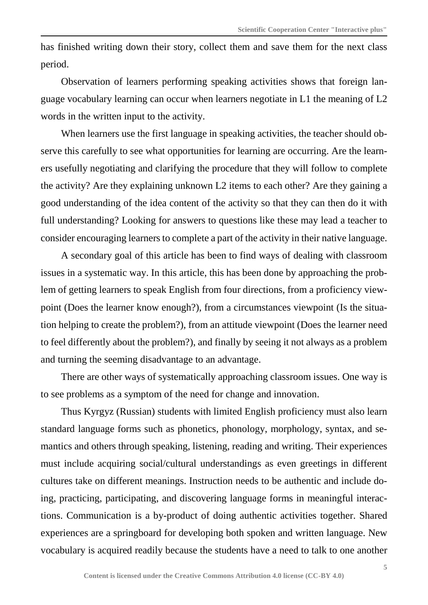has finished writing down their story, collect them and save them for the next class period.

Observation of learners performing speaking activities shows that foreign language vocabulary learning can occur when learners negotiate in L1 the meaning of L2 words in the written input to the activity.

When learners use the first language in speaking activities, the teacher should observe this carefully to see what opportunities for learning are occurring. Are the learners usefully negotiating and clarifying the procedure that they will follow to complete the activity? Are they explaining unknown L2 items to each other? Are they gaining a good understanding of the idea content of the activity so that they can then do it with full understanding? Looking for answers to questions like these may lead a teacher to consider encouraging learners to complete a part of the activity in their native language.

A secondary goal of this article has been to find ways of dealing with classroom issues in a systematic way. In this article, this has been done by approaching the problem of getting learners to speak English from four directions, from a proficiency viewpoint (Does the learner know enough?), from a circumstances viewpoint (Is the situation helping to create the problem?), from an attitude viewpoint (Does the learner need to feel differently about the problem?), and finally by seeing it not always as a problem and turning the seeming disadvantage to an advantage.

There are other ways of systematically approaching classroom issues. One way is to see problems as a symptom of the need for change and innovation.

Thus Kyrgyz (Russian) students with limited English proficiency must also learn standard language forms such as phonetics, phonology, morphology, syntax, and semantics and others through speaking, listening, reading and writing. Their experiences must include acquiring social/cultural understandings as even greetings in different cultures take on different meanings. Instruction needs to be authentic and include doing, practicing, participating, and discovering language forms in meaningful interactions. Communication is a by-product of doing authentic activities together. Shared experiences are a springboard for developing both spoken and written language. New vocabulary is acquired readily because the students have a need to talk to one another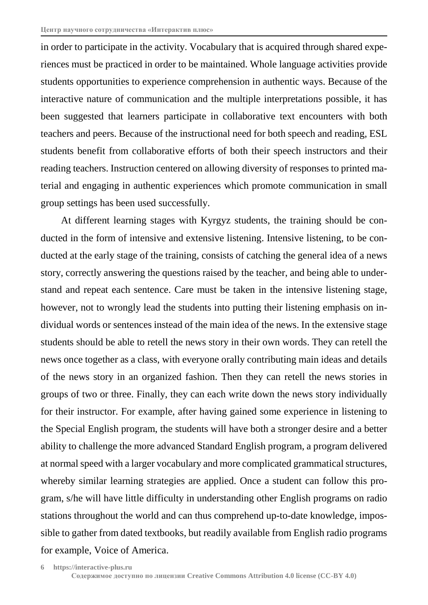in order to participate in the activity. Vocabulary that is acquired through shared experiences must be practiced in order to be maintained. Whole language activities provide students opportunities to experience comprehension in authentic ways. Because of the interactive nature of communication and the multiple interpretations possible, it has been suggested that learners participate in collaborative text encounters with both teachers and peers. Because of the instructional need for both speech and reading, ESL students benefit from collaborative efforts of both their speech instructors and their reading teachers. Instruction centered on allowing diversity of responses to printed material and engaging in authentic experiences which promote communication in small group settings has been used successfully.

At different learning stages with Kyrgyz students, the training should be conducted in the form of intensive and extensive listening. Intensive listening, to be conducted at the early stage of the training, consists of catching the general idea of a news story, correctly answering the questions raised by the teacher, and being able to understand and repeat each sentence. Care must be taken in the intensive listening stage, however, not to wrongly lead the students into putting their listening emphasis on individual words or sentences instead of the main idea of the news. In the extensive stage students should be able to retell the news story in their own words. They can retell the news once together as a class, with everyone orally contributing main ideas and details of the news story in an organized fashion. Then they can retell the news stories in groups of two or three. Finally, they can each write down the news story individually for their instructor. For example, after having gained some experience in listening to the Special English program, the students will have both a stronger desire and a better ability to challenge the more advanced Standard English program, a program delivered at normal speed with a larger vocabulary and more complicated grammatical structures, whereby similar learning strategies are applied. Once a student can follow this program, s/he will have little difficulty in understanding other English programs on radio stations throughout the world and can thus comprehend up-to-date knowledge, impossible to gather from dated textbooks, but readily available from English radio programs for example, Voice of America.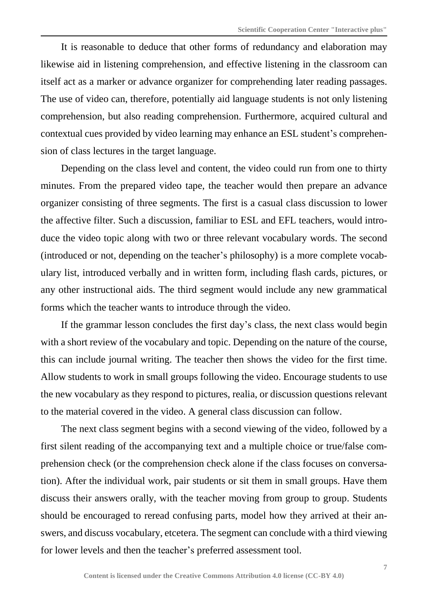It is reasonable to deduce that other forms of redundancy and elaboration may likewise aid in listening comprehension, and effective listening in the classroom can itself act as a marker or advance organizer for comprehending later reading passages. The use of video can, therefore, potentially aid language students is not only listening comprehension, but also reading comprehension. Furthermore, acquired cultural and contextual cues provided by video learning may enhance an ESL student's comprehension of class lectures in the target language.

Depending on the class level and content, the video could run from one to thirty minutes. From the prepared video tape, the teacher would then prepare an advance organizer consisting of three segments. The first is a casual class discussion to lower the affective filter. Such a discussion, familiar to ESL and EFL teachers, would introduce the video topic along with two or three relevant vocabulary words. The second (introduced or not, depending on the teacher's philosophy) is a more complete vocabulary list, introduced verbally and in written form, including flash cards, pictures, or any other instructional aids. The third segment would include any new grammatical forms which the teacher wants to introduce through the video.

If the grammar lesson concludes the first day's class, the next class would begin with a short review of the vocabulary and topic. Depending on the nature of the course, this can include journal writing. The teacher then shows the video for the first time. Allow students to work in small groups following the video. Encourage students to use the new vocabulary as they respond to pictures, realia, or discussion questions relevant to the material covered in the video. A general class discussion can follow.

The next class segment begins with a second viewing of the video, followed by a first silent reading of the accompanying text and a multiple choice or true/false comprehension check (or the comprehension check alone if the class focuses on conversation). After the individual work, pair students or sit them in small groups. Have them discuss their answers orally, with the teacher moving from group to group. Students should be encouraged to reread confusing parts, model how they arrived at their answers, and discuss vocabulary, etcetera. The segment can conclude with a third viewing for lower levels and then the teacher's preferred assessment tool.